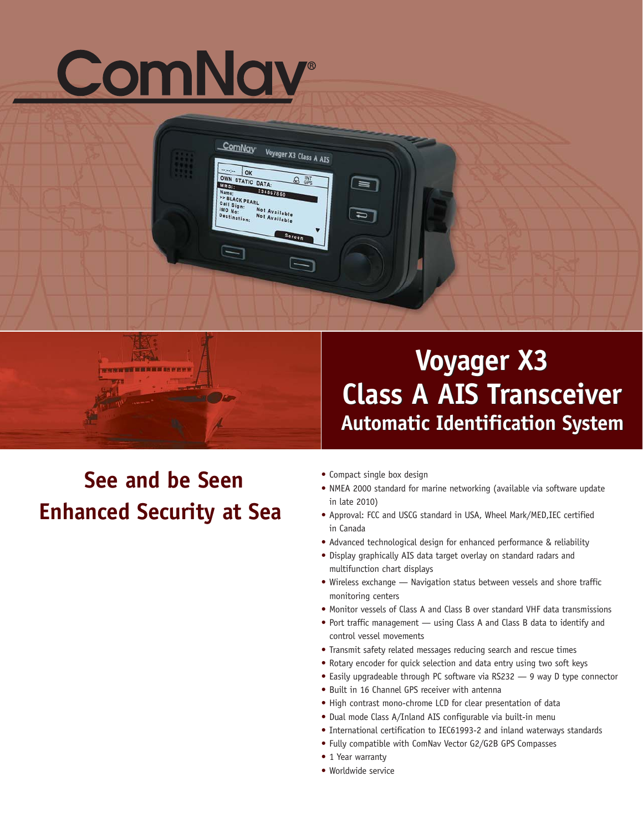# ComNav

lok OWN STATIC DATA: **L'IMSIA** 284667860 Name:<br>
PS BLACK PEARL<br>
Call Sign:<br>
MO No:<br>
Destination: N Not Available<br>Not Available Destination: Screen

Voyager X3 Class A AIS

 $\Box$ 

ComNay

G

## **Voyager X3 Voyager X3 Class A AIS Transceiver Class A AIS Transceiver Automatic Identification System Automatic Identification System**

## **See and be Seen Enhanced Security at Sea**

医麻山 STRENGTH WHICH HE WILL BE

**•** Compact single box design

 $\blacksquare$ 

 $\Box$ 

- **•** NMEA 2000 standard for marine networking (available via software update in late 2010)
- **•** Approval: FCC and USCG standard in USA, Wheel Mark/MED,IEC certified in Canada
- **•** Advanced technological design for enhanced performance & reliability
- **•** Display graphically AIS data target overlay on standard radars and multifunction chart displays
- **•** Wireless exchange Navigation status between vessels and shore traffic monitoring centers
- **•** Monitor vessels of Class A and Class B over standard VHF data transmissions
- **•** Port traffic management using Class A and Class B data to identify and control vessel movements
- **•** Transmit safety related messages reducing search and rescue times
- **•** Rotary encoder for quick selection and data entry using two soft keys
- **•** Easily upgradeable through PC software via RS232 9 way D type connector
- **•** Built in 16 Channel GPS receiver with antenna
- **•** High contrast mono-chrome LCD for clear presentation of data
- **•** Dual mode Class A/Inland AIS configurable via built-in menu
- **•** International certification to IEC61993-2 and inland waterways standards
- **•** Fully compatible with ComNav Vector G2/G2B GPS Compasses
- **•** 1 Year warranty
- **•** Worldwide service